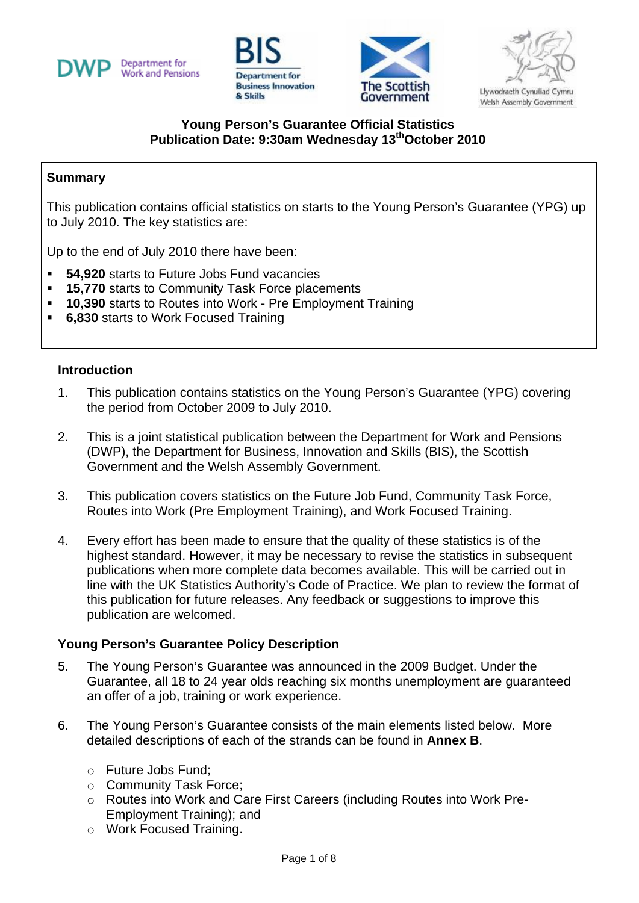







## **Young Person's Guarantee Official Statistics Publication Date: 9:30am Wednesday 13thOctober 2010**

#### **Summary**

This publication contains official statistics on starts to the Young Person's Guarantee (YPG) up to July 2010. The key statistics are:

Up to the end of July 2010 there have been:

- **54,920** starts to Future Jobs Fund vacancies
- **15,770** starts to Community Task Force placements
- **10,390** starts to Routes into Work Pre Employment Training
- **6,830** starts to Work Focused Training

#### **Introduction**

- 1. This publication contains statistics on the Young Person's Guarantee (YPG) covering the period from October 2009 to July 2010.
- 2. This is a joint statistical publication between the Department for Work and Pensions (DWP), the Department for Business, Innovation and Skills (BIS), the Scottish Government and the Welsh Assembly Government.
- 3. This publication covers statistics on the Future Job Fund, Community Task Force, Routes into Work (Pre Employment Training), and Work Focused Training.
- 4. Every effort has been made to ensure that the quality of these statistics is of the highest standard. However, it may be necessary to revise the statistics in subsequent publications when more complete data becomes available. This will be carried out in line with the UK Statistics Authority's Code of Practice. We plan to review the format of this publication for future releases. Any feedback or suggestions to improve this publication are welcomed.

#### **Young Person's Guarantee Policy Description**

- 5. The Young Person's Guarantee was announced in the 2009 Budget. Under the Guarantee, all 18 to 24 year olds reaching six months unemployment are guaranteed an offer of a job, training or work experience.
- 6. The Young Person's Guarantee consists of the main elements listed below. More detailed descriptions of each of the strands can be found in **Annex B**.
	- ο Future Jobs Fund;
	- ο Community Task Force;
	- ο Routes into Work and Care First Careers (including Routes into Work Pre-Employment Training); and
	- ο Work Focused Training.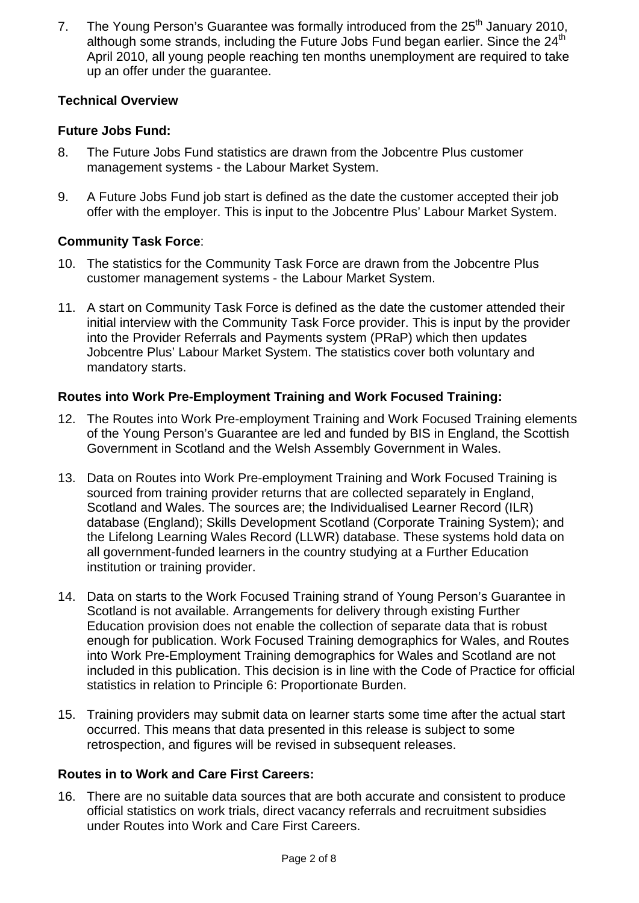7. The Young Person's Guarantee was formally introduced from the 25<sup>th</sup> January 2010, although some strands, including the Future Jobs Fund began earlier. Since the  $24<sup>th</sup>$ April 2010, all young people reaching ten months unemployment are required to take up an offer under the guarantee.

## **Technical Overview**

# **Future Jobs Fund:**

- 8. The Future Jobs Fund statistics are drawn from the Jobcentre Plus customer management systems - the Labour Market System.
- 9. A Future Jobs Fund job start is defined as the date the customer accepted their job offer with the employer. This is input to the Jobcentre Plus' Labour Market System.

# **Community Task Force**:

- 10. The statistics for the Community Task Force are drawn from the Jobcentre Plus customer management systems - the Labour Market System.
- 11. A start on Community Task Force is defined as the date the customer attended their initial interview with the Community Task Force provider. This is input by the provider into the Provider Referrals and Payments system (PRaP) which then updates Jobcentre Plus' Labour Market System. The statistics cover both voluntary and mandatory starts.

# **Routes into Work Pre-Employment Training and Work Focused Training:**

- 12. The Routes into Work Pre-employment Training and Work Focused Training elements of the Young Person's Guarantee are led and funded by BIS in England, the Scottish Government in Scotland and the Welsh Assembly Government in Wales.
- 13. Data on Routes into Work Pre-employment Training and Work Focused Training is sourced from training provider returns that are collected separately in England, Scotland and Wales. The sources are; the Individualised Learner Record (ILR) database (England); Skills Development Scotland (Corporate Training System); and the Lifelong Learning Wales Record (LLWR) database. These systems hold data on all government-funded learners in the country studying at a Further Education institution or training provider.
- 14. Data on starts to the Work Focused Training strand of Young Person's Guarantee in Scotland is not available. Arrangements for delivery through existing Further Education provision does not enable the collection of separate data that is robust enough for publication. Work Focused Training demographics for Wales, and Routes into Work Pre-Employment Training demographics for Wales and Scotland are not included in this publication. This decision is in line with the Code of Practice for official statistics in relation to Principle 6: Proportionate Burden.
- 15. Training providers may submit data on learner starts some time after the actual start occurred. This means that data presented in this release is subject to some retrospection, and figures will be revised in subsequent releases.

## **Routes in to Work and Care First Careers:**

16. There are no suitable data sources that are both accurate and consistent to produce official statistics on work trials, direct vacancy referrals and recruitment subsidies under Routes into Work and Care First Careers.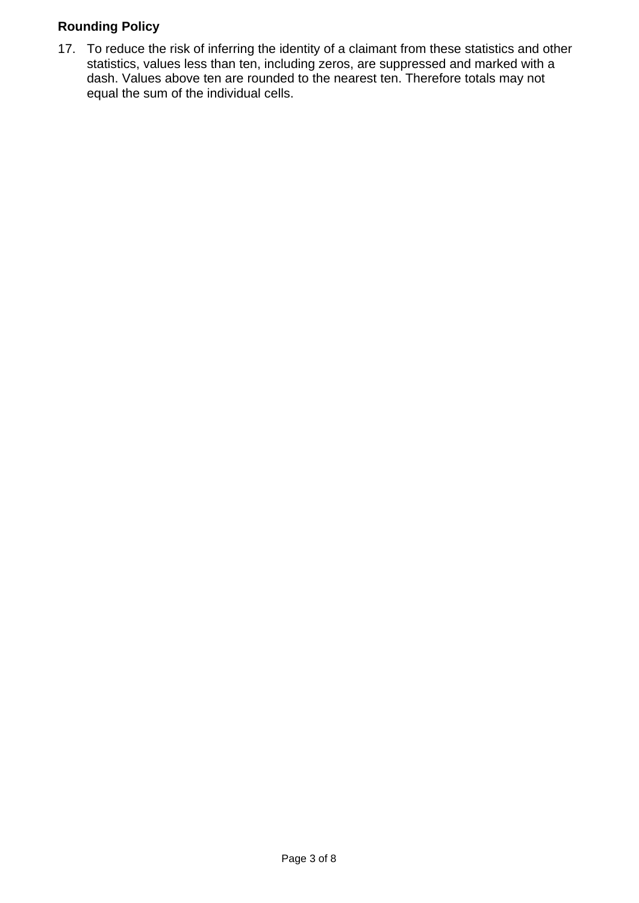# **Rounding Policy**

17. To reduce the risk of inferring the identity of a claimant from these statistics and other statistics, values less than ten, including zeros, are suppressed and marked with a dash. Values above ten are rounded to the nearest ten. Therefore totals may not equal the sum of the individual cells.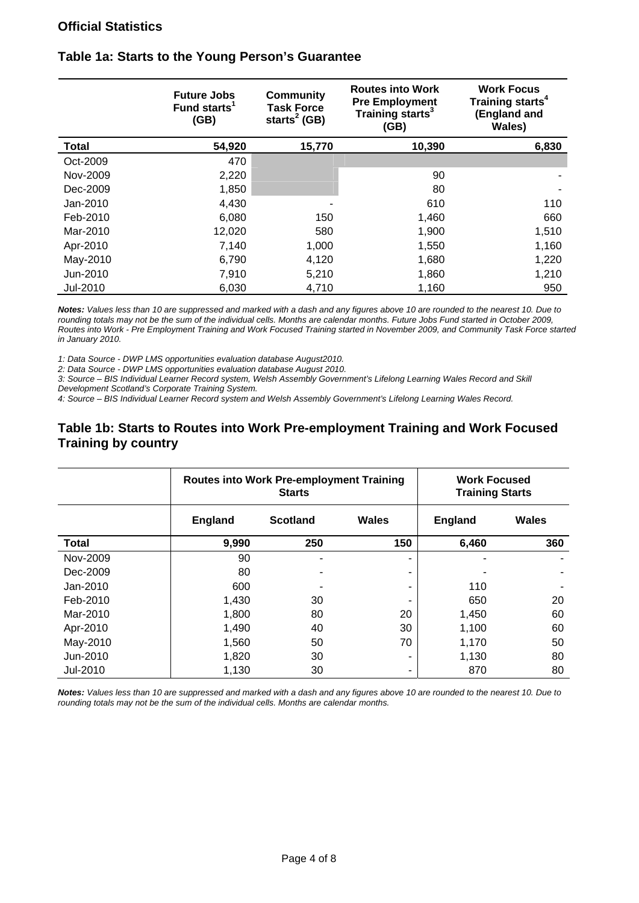#### **Official Statistics**

|              | <b>Future Jobs</b><br>Fund starts <sup>1</sup><br>(GB) | <b>Community</b><br><b>Task Force</b><br>starts <sup>2</sup> (GB) | <b>Routes into Work</b><br><b>Pre Employment</b><br>Training starts <sup>3</sup><br>(GB) | <b>Work Focus</b><br>Training starts <sup>4</sup><br>(England and<br>Wales) |
|--------------|--------------------------------------------------------|-------------------------------------------------------------------|------------------------------------------------------------------------------------------|-----------------------------------------------------------------------------|
| <b>Total</b> | 54,920                                                 | 15,770                                                            | 10,390                                                                                   | 6,830                                                                       |
| Oct-2009     | 470                                                    |                                                                   |                                                                                          |                                                                             |
| Nov-2009     | 2,220                                                  |                                                                   | 90                                                                                       |                                                                             |
| Dec-2009     | 1,850                                                  |                                                                   | 80                                                                                       |                                                                             |
| Jan-2010     | 4,430                                                  |                                                                   | 610                                                                                      | 110                                                                         |
| Feb-2010     | 6,080                                                  | 150                                                               | 1,460                                                                                    | 660                                                                         |
| Mar-2010     | 12,020                                                 | 580                                                               | 1,900                                                                                    | 1,510                                                                       |
| Apr-2010     | 7,140                                                  | 1,000                                                             | 1,550                                                                                    | 1,160                                                                       |
| May-2010     | 6,790                                                  | 4,120                                                             | 1,680                                                                                    | 1,220                                                                       |
| Jun-2010     | 7,910                                                  | 5,210                                                             | 1,860                                                                                    | 1,210                                                                       |
| Jul-2010     | 6,030                                                  | 4,710                                                             | 1,160                                                                                    | 950                                                                         |

#### **Table 1a: Starts to the Young Person's Guarantee**

*Notes: Values less than 10 are suppressed and marked with a dash and any figures above 10 are rounded to the nearest 10. Due to rounding totals may not be the sum of the individual cells. Months are calendar months. Future Jobs Fund started in October 2009, Routes into Work - Pre Employment Training and Work Focused Training started in November 2009, and Community Task Force started in January 2010.* 

*1: Data Source - DWP LMS opportunities evaluation database August2010.* 

*2: Data Source - DWP LMS opportunities evaluation database August 2010.* 

*3: Source – BIS Individual Learner Record system, Welsh Assembly Government's Lifelong Learning Wales Record and Skill Development Scotland's Corporate Training System.* 

*4: Source – BIS Individual Learner Record system and Welsh Assembly Government's Lifelong Learning Wales Record.* 

#### **Table 1b: Starts to Routes into Work Pre-employment Training and Work Focused Training by country**

|              | <b>Routes into Work Pre-employment Training</b><br><b>Starts</b> |                 |       | <b>Work Focused</b><br><b>Training Starts</b> |       |
|--------------|------------------------------------------------------------------|-----------------|-------|-----------------------------------------------|-------|
|              | <b>England</b>                                                   | <b>Scotland</b> | Wales | <b>England</b>                                | Wales |
| <b>Total</b> | 9,990                                                            | 250             | 150   | 6,460                                         | 360   |
| Nov-2009     | 90                                                               | ٠               |       |                                               |       |
| Dec-2009     | 80                                                               | ۰               | -     |                                               |       |
| Jan-2010     | 600                                                              |                 | -     | 110                                           |       |
| Feb-2010     | 1,430                                                            | 30              |       | 650                                           | 20    |
| Mar-2010     | 1,800                                                            | 80              | 20    | 1,450                                         | 60    |
| Apr-2010     | 1,490                                                            | 40              | 30    | 1,100                                         | 60    |
| May-2010     | 1,560                                                            | 50              | 70    | 1,170                                         | 50    |
| Jun-2010     | 1,820                                                            | 30              |       | 1,130                                         | 80    |
| Jul-2010     | 1,130                                                            | 30              | ۰     | 870                                           | 80    |

*Notes: Values less than 10 are suppressed and marked with a dash and any figures above 10 are rounded to the nearest 10. Due to rounding totals may not be the sum of the individual cells. Months are calendar months.*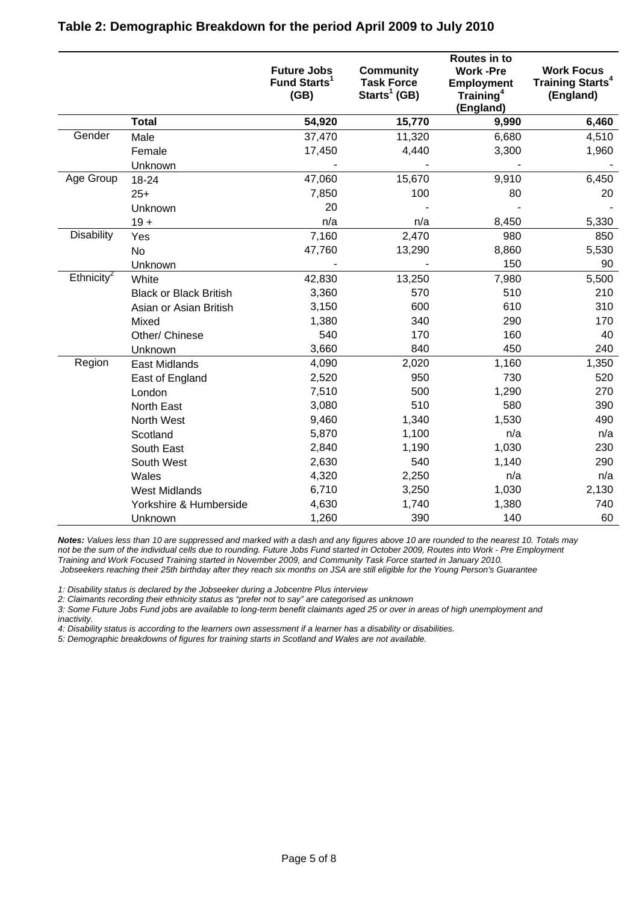|                        |                               | <b>Future Jobs</b><br>Fund Starts <sup>1</sup><br>(GB) | <b>Community</b><br><b>Task Force</b><br>Starts <sup>1</sup> (GB) | Routes in to<br><b>Work-Pre</b><br><b>Employment</b><br>Training <sup>4</sup><br>(England) | <b>Work Focus</b><br><b>Training Starts<sup>4</sup></b><br>(England) |
|------------------------|-------------------------------|--------------------------------------------------------|-------------------------------------------------------------------|--------------------------------------------------------------------------------------------|----------------------------------------------------------------------|
|                        | <b>Total</b>                  | 54,920                                                 | 15,770                                                            | 9,990                                                                                      | 6,460                                                                |
| Gender                 | Male                          | 37,470                                                 | 11,320                                                            | 6,680                                                                                      | 4,510                                                                |
|                        | Female                        | 17,450                                                 | 4,440                                                             | 3,300                                                                                      | 1,960                                                                |
|                        | Unknown                       |                                                        |                                                                   |                                                                                            |                                                                      |
| Age Group              | 18-24                         | 47,060                                                 | 15,670                                                            | 9,910                                                                                      | 6,450                                                                |
|                        | $25+$                         | 7,850                                                  | 100                                                               | 80                                                                                         | 20                                                                   |
|                        | Unknown                       | 20                                                     |                                                                   |                                                                                            |                                                                      |
|                        | $19 +$                        | n/a                                                    | n/a                                                               | 8,450                                                                                      | 5,330                                                                |
| <b>Disability</b>      | Yes                           | 7,160                                                  | 2,470                                                             | 980                                                                                        | 850                                                                  |
|                        | No                            | 47,760                                                 | 13,290                                                            | 8,860                                                                                      | 5,530                                                                |
|                        | Unknown                       |                                                        |                                                                   | 150                                                                                        | 90                                                                   |
| Ethnicity <sup>2</sup> | White                         | 42,830                                                 | 13,250                                                            | 7,980                                                                                      | 5,500                                                                |
|                        | <b>Black or Black British</b> | 3,360                                                  | 570                                                               | 510                                                                                        | 210                                                                  |
|                        | Asian or Asian British        | 3,150                                                  | 600                                                               | 610                                                                                        | 310                                                                  |
|                        | Mixed                         | 1,380                                                  | 340                                                               | 290                                                                                        | 170                                                                  |
|                        | Other/ Chinese                | 540                                                    | 170                                                               | 160                                                                                        | 40                                                                   |
|                        | Unknown                       | 3,660                                                  | 840                                                               | 450                                                                                        | 240                                                                  |
| Region                 | <b>East Midlands</b>          | 4,090                                                  | 2,020                                                             | 1,160                                                                                      | 1,350                                                                |
|                        | East of England               | 2,520                                                  | 950                                                               | 730                                                                                        | 520                                                                  |
|                        | London                        | 7,510                                                  | 500                                                               | 1,290                                                                                      | 270                                                                  |
|                        | North East                    | 3,080                                                  | 510                                                               | 580                                                                                        | 390                                                                  |
|                        | North West                    | 9,460                                                  | 1,340                                                             | 1,530                                                                                      | 490                                                                  |
|                        | Scotland                      | 5,870                                                  | 1,100                                                             | n/a                                                                                        | n/a                                                                  |
|                        | South East                    | 2,840                                                  | 1,190                                                             | 1,030                                                                                      | 230                                                                  |
|                        | South West                    | 2,630                                                  | 540                                                               | 1,140                                                                                      | 290                                                                  |
|                        | Wales                         | 4,320                                                  | 2,250                                                             | n/a                                                                                        | n/a                                                                  |
|                        | <b>West Midlands</b>          | 6,710                                                  | 3,250                                                             | 1,030                                                                                      | 2,130                                                                |
|                        | Yorkshire & Humberside        | 4,630                                                  | 1,740                                                             | 1,380                                                                                      | 740                                                                  |
|                        | Unknown                       | 1,260                                                  | 390                                                               | 140                                                                                        | 60                                                                   |

#### **Table 2: Demographic Breakdown for the period April 2009 to July 2010**

*Notes: Values less than 10 are suppressed and marked with a dash and any figures above 10 are rounded to the nearest 10. Totals may not be the sum of the individual cells due to rounding. Future Jobs Fund started in October 2009, Routes into Work - Pre Employment Training and Work Focused Training started in November 2009, and Community Task Force started in January 2010. Jobseekers reaching their 25th birthday after they reach six months on JSA are still eligible for the Young Person's Guarantee*

*1: Disability status is declared by the Jobseeker during a Jobcentre Plus interview* 

*2: Claimants recording their ethnicity status as "prefer not to say" are categorised as unknown* 

*3: Some Future Jobs Fund jobs are available to long-term benefit claimants aged 25 or over in areas of high unemployment and inactivity.* 

*4: Disability status is according to the learners own assessment if a learner has a disability or disabilities.* 

*5: Demographic breakdowns of figures for training starts in Scotland and Wales are not available.*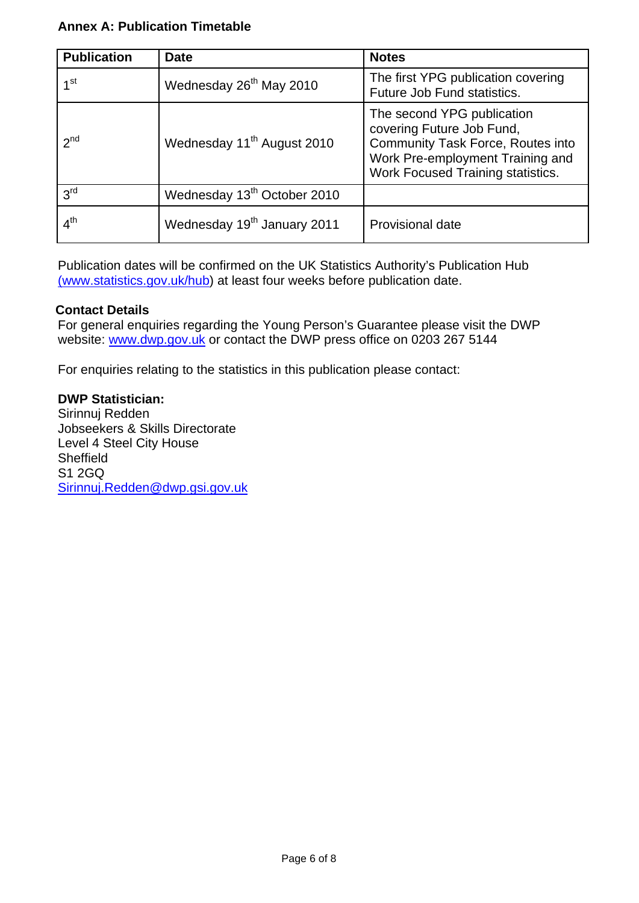## **Annex A: Publication Timetable**

| <b>Publication</b> | <b>Date</b>                             | <b>Notes</b>                                                                                                                                                                        |
|--------------------|-----------------------------------------|-------------------------------------------------------------------------------------------------------------------------------------------------------------------------------------|
| 1st                | Wednesday 26 <sup>th</sup> May 2010     | The first YPG publication covering<br>Future Job Fund statistics.                                                                                                                   |
| $2^{nd}$           | Wednesday 11 <sup>th</sup> August 2010  | The second YPG publication<br>covering Future Job Fund,<br><b>Community Task Force, Routes into</b><br>Work Pre-employment Training and<br><b>Work Focused Training statistics.</b> |
| 3 <sup>rd</sup>    | Wednesday 13 <sup>th</sup> October 2010 |                                                                                                                                                                                     |
| 4 <sup>th</sup>    | Wednesday 19 <sup>th</sup> January 2011 | Provisional date                                                                                                                                                                    |

Publication dates will be confirmed on the UK Statistics Authority's Publication Hub (www.statistics.gov.uk/hub) at least four weeks before publication date.

#### **Contact Details**

For general enquiries regarding the Young Person's Guarantee please visit the DWP website: www.dwp.gov.uk or contact the DWP press office on 0203 267 5144

For enquiries relating to the statistics in this publication please contact:

#### **DWP Statistician:**

Sirinnuj Redden Jobseekers & Skills Directorate Level 4 Steel City House **Sheffield** S1 2GQ Sirinnuj.Redden@dwp.gsi.gov.uk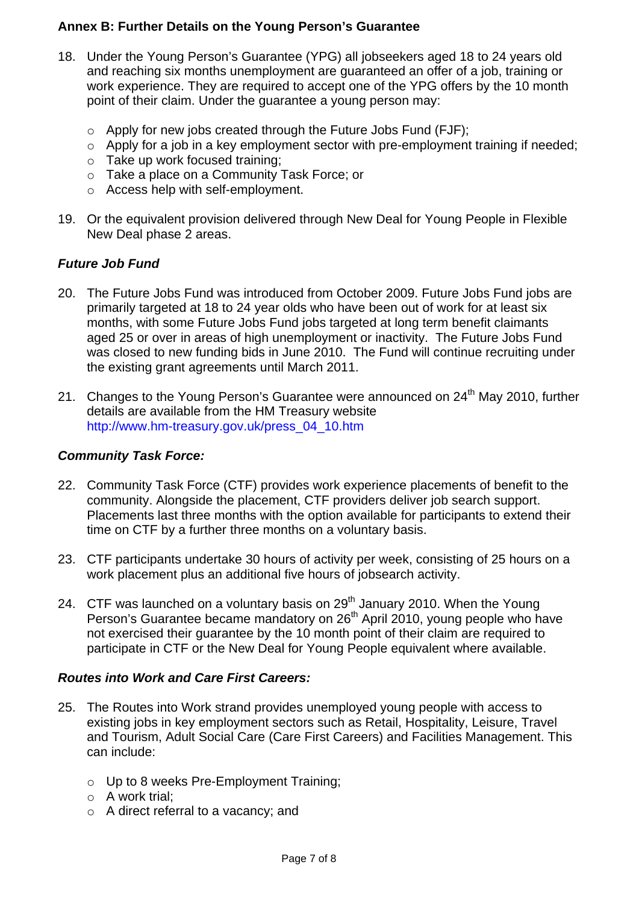## **Annex B: Further Details on the Young Person's Guarantee**

- 18. Under the Young Person's Guarantee (YPG) all jobseekers aged 18 to 24 years old and reaching six months unemployment are guaranteed an offer of a job, training or work experience. They are required to accept one of the YPG offers by the 10 month point of their claim. Under the guarantee a young person may:
	- ο Apply for new jobs created through the Future Jobs Fund (FJF);
	- ο Apply for a job in a key employment sector with pre-employment training if needed;
	- ο Take up work focused training;
	- ο Take a place on a Community Task Force; or
	- ο Access help with self-employment.
- 19. Or the equivalent provision delivered through New Deal for Young People in Flexible New Deal phase 2 areas.

## *Future Job Fund*

- 20. The Future Jobs Fund was introduced from October 2009. Future Jobs Fund jobs are primarily targeted at 18 to 24 year olds who have been out of work for at least six months, with some Future Jobs Fund jobs targeted at long term benefit claimants aged 25 or over in areas of high unemployment or inactivity. The Future Jobs Fund was closed to new funding bids in June 2010. The Fund will continue recruiting under the existing grant agreements until March 2011.
- 21. Changes to the Young Person's Guarantee were announced on  $24<sup>th</sup>$  May 2010, further details are available from the HM Treasury website http://www.hm-treasury.gov.uk/press\_04\_10.htm

#### *Community Task Force:*

- 22. Community Task Force (CTF) provides work experience placements of benefit to the community. Alongside the placement, CTF providers deliver job search support. Placements last three months with the option available for participants to extend their time on CTF by a further three months on a voluntary basis.
- 23. CTF participants undertake 30 hours of activity per week, consisting of 25 hours on a work placement plus an additional five hours of jobsearch activity.
- 24. CTF was launched on a voluntary basis on 29<sup>th</sup> January 2010. When the Young Person's Guarantee became mandatory on 26<sup>th</sup> April 2010, young people who have not exercised their guarantee by the 10 month point of their claim are required to participate in CTF or the New Deal for Young People equivalent where available.

#### *Routes into Work and Care First Careers:*

- 25. The Routes into Work strand provides unemployed young people with access to existing jobs in key employment sectors such as Retail, Hospitality, Leisure, Travel and Tourism, Adult Social Care (Care First Careers) and Facilities Management. This can include:
	- ο Up to 8 weeks Pre-Employment Training;
	- ο A work trial;
	- ο A direct referral to a vacancy; and